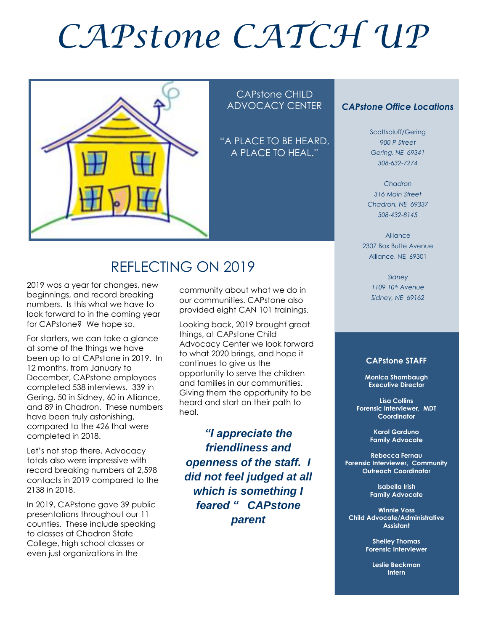# *CAPstone CATCH UP*



CAPstone CHILD ADVOCACY CENTER

"A PLACE TO BE HEARD, A PLACE TO HEAL."

#### *CAPstone Office Locations*

Scottsbluff/Gering *900 P Street Gering, NE 69341 308-632-7274*

*Chadron 316 Main Street Chadron, NE 69337 308-432-8145*

Alliance 2307 Box Butte Avenue Alliance, NE 69301

> *Sidney 1109 10th Avenue Sidney, NE 69162*

#### **CAPstone STAFF**

**Monica Shambaugh Executive Director**

**Lisa Collins Forensic Interviewer, MDT Coordinator**

> **Karol Garduno Family Advocate**

**Rebecca Fernau Forensic Interviewer, Community Outreach Coordinator**

> **Isabella Irish Family Advocate**

**Winnie Voss Child Advocate/Administrative Assistant**

> **Shelley Thomas Forensic Interviewer**

**Leslie Beckman Intern**

# REFLECTING ON 2019

2019 was a year for changes, new beginnings, and record breaking numbers. Is this what we have to look forward to in the coming year for CAPstone? We hope so.

For starters, we can take a glance at some of the things we have been up to at CAPstone in 2019. In 12 months, from January to December, CAPstone employees completed 538 interviews. 339 in Gering, 50 in Sidney, 60 in Alliance, and 89 in Chadron. These numbers have been truly astonishing, compared to the 426 that were completed in 2018.

Let's not stop there, Advocacy totals also were impressive with record breaking numbers at 2,598 contacts in 2019 compared to the 2138 in 2018.

In 2019, CAPstone gave 39 public presentations throughout our 11 counties. These include speaking to classes at Chadron State College, high school classes or even just organizations in the

community about what we do in our communities. CAPstone also provided eight CAN 101 trainings.

Looking back, 2019 brought great things, at CAPstone Child Advocacy Center we look forward to what 2020 brings, and hope it continues to give us the opportunity to serve the children and families in our communities. Giving them the opportunity to be heard and start on their path to heal.

*"I appreciate the friendliness and openness of the staff. I did not feel judged at all which is something I feared " CAPstone parent*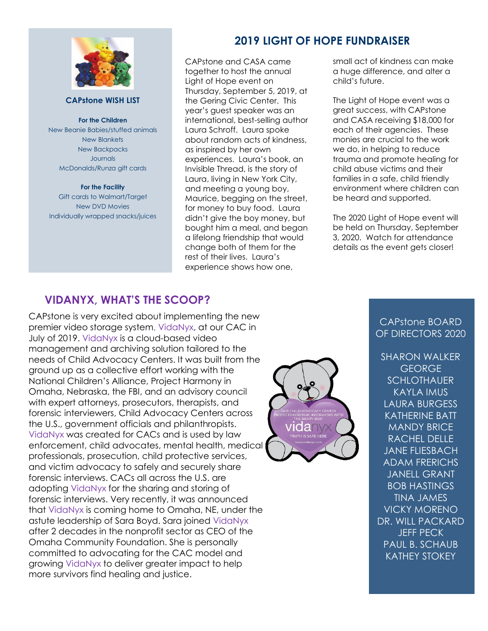

#### **CAPstone WISH LIST**

**For the Children** New Beanie Babies/stuffed animals New Blankets New Backpacks Journals McDonalds/Runza gift cards

### **For the Facility**

Gift cards to Walmart/Target New DVD Movies Individually wrapped snacks/juices

# **2019 LIGHT OF HOPE FUNDRAISER**

CAPstone and CASA came together to host the annual Light of Hope event on Thursday, September 5, 2019, at the Gering Civic Center. This year's guest speaker was an international, best-selling author Laura Schroff. Laura spoke about random acts of kindness, as inspired by her own experiences. Laura's book, an Invisible Thread, is the story of Laura, living in New York City, and meeting a young boy, Maurice, begging on the street, for money to buy food. Laura didn't give the boy money, but bought him a meal, and began a lifelong friendship that would change both of them for the rest of their lives. Laura's experience shows how one,

small act of kindness can make a huge difference, and alter a child's future.

The Light of Hope event was a great success, with CAPstone and CASA receiving \$18,000 for each of their agencies. These monies are crucial to the work we do, in helping to reduce trauma and promote healing for child abuse victims and their families in a safe, child friendly environment where children can be heard and supported.

The 2020 Light of Hope event will be held on Thursday, September 3, 2020. Watch for attendance details as the event gets closer!

## **VIDANYX, WHAT'S THE SCOOP?**

CAPstone is very excited about implementing the new premier video storage system, VidaNyx, at our CAC in July of 2019. VidaNyx is a cloud-based video management and archiving solution tailored to the needs of Child Advocacy Centers. It was built from the ground up as a collective effort working with the National Children's Alliance, Project Harmony in Omaha, Nebraska, the FBI, and an advisory council with expert attorneys, prosecutors, therapists, and forensic interviewers, Child Advocacy Centers across the U.S., government officials and philanthropists. VidaNyx was created for CACs and is used by law enforcement, child advocates, mental health, medical professionals, prosecution, child protective services, and victim advocacy to safely and securely share forensic interviews. CACs all across the U.S. are adopting VidaNyx for the sharing and storing of forensic interviews. Very recently, it was announced that VidaNyx is coming home to Omaha, NE, under the astute leadership of Sara Boyd. Sara joined VidaNyx after 2 decades in the nonprofit sector as CEO of the Omaha Community Foundation. She is personally committed to advocating for the CAC model and growing VidaNyx to deliver greater impact to help more survivors find healing and justice.



#### CAPstone BOARD OF DIRECTORS 2020

SHARON WALKER **GEORGE SCHLOTHAUER** KAYLA IMUS LAURA BURGESS KATHERINE BATT MANDY BRICE RACHEL DELLE JANE FLIESBACH ADAM FRERICHS JANELL GRANT BOB HASTINGS TINA JAMES VICKY MORENO DR. WILL PACKARD JEFF PECK PAUL B. SCHAUB KATHEY STOKEY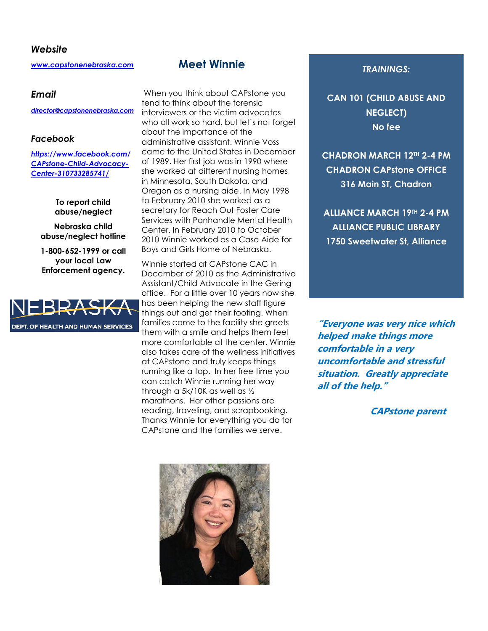#### *Website*

*[www.capstonenebraska.com](http://www.capstonenebraska.com/)*

#### *Email*

*[director@capstonenebraska.com](mailto:director@capstonenebraska.com)*

#### *Facebook*

*[https://www.facebook.com/](https://www.facebook.com/CAPstone-Child-Advocacy-Center-310733285741/) [CAPstone-Child-Advocacy-](https://www.facebook.com/CAPstone-Child-Advocacy-Center-310733285741/)[Center-310733285741/](https://www.facebook.com/CAPstone-Child-Advocacy-Center-310733285741/)*

> **To report child abuse/neglect**

**Nebraska child abuse/neglect hotline**

**1-800-652-1999 or call your local Law Enforcement agency.**



## **Meet Winnie**

When you think about CAPstone you tend to think about the forensic interviewers or the victim advocates who all work so hard, but let's not forget about the importance of the administrative assistant. Winnie Voss came to the United States in December of 1989. Her first job was in 1990 where she worked at different nursing homes in Minnesota, South Dakota, and Oregon as a nursing aide. In May 1998 to February 2010 she worked as a secretary for Reach Out Foster Care Services with Panhandle Mental Health Center. In February 2010 to October 2010 Winnie worked as a Case Aide for Boys and Girls Home of Nebraska.

Winnie started at CAPstone CAC in December of 2010 as the Administrative Assistant/Child Advocate in the Gering office. For a little over 10 years now she has been helping the new staff figure things out and get their footing. When families come to the facility she greets them with a smile and helps them feel more comfortable at the center. Winnie also takes care of the wellness initiatives at CAPstone and truly keeps things running like a top. In her free time you can catch Winnie running her way through a 5k/10K as well as ½ marathons. Her other passions are reading, traveling, and scrapbooking. Thanks Winnie for everything you do for CAPstone and the families we serve.



**CAN 101 (CHILD ABUSE AND NEGLECT) No fee**

**CHADRON MARCH 12TH 2-4 PM CHADRON CAPstone OFFICE 316 Main ST, Chadron**

**ALLIANCE MARCH 19TH 2-4 PM ALLIANCE PUBLIC LIBRARY 1750 Sweetwater St, Alliance**

**"Everyone was very nice which helped make things more comfortable in a very uncomfortable and stressful situation. Greatly appreciate all of the help."**

**If interested in attending email** 

 **CAPstone parent**

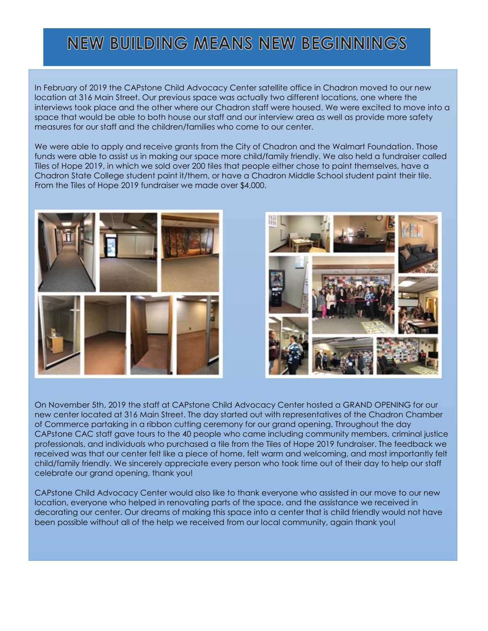# **NEW BUILDING MEANS NEW BEGINNINGS**

In February of 2019 the CAPstone Child Advocacy Center satellite office in Chadron moved to our new location at 316 Main Street. Our previous space was actually two different locations, one where the interviews took place and the other where our Chadron staff were housed. We were excited to move into a space that would be able to both house our staff and our interview area as well as provide more safety measures for our staff and the children/families who come to our center.

We were able to apply and receive grants from the City of Chadron and the Walmart Foundation. Those funds were able to assist us in making our space more child/family friendly. We also held a fundraiser called Tiles of Hope 2019, in which we sold over 200 tiles that people either chose to paint themselves, have a Chadron State College student paint it/them, or have a Chadron Middle School student paint their tile. From the Tiles of Hope 2019 fundraiser we made over \$4,000.





On November 5th, 2019 the staff at CAPstone Child Advocacy Center hosted a GRAND OPENING for our new center located at 316 Main Street. The day started out with representatives of the Chadron Chamber of Commerce partaking in a ribbon cutting ceremony for our grand opening. Throughout the day CAPstone CAC staff gave tours to the 40 people who came including community members, criminal justice professionals, and individuals who purchased a tile from the Tiles of Hope 2019 fundraiser. The feedback we received was that our center felt like a piece of home, felt warm and welcoming, and most importantly felt child/family friendly. We sincerely appreciate every person who took time out of their day to help our staff celebrate our grand opening, thank you!

CAPstone Child Advocacy Center would also like to thank everyone who assisted in our move to our new location, everyone who helped in renovating parts of the space, and the assistance we received in decorating our center. Our dreams of making this space into a center that is child friendly would not have been possible without all of the help we received from our local community, again thank you!